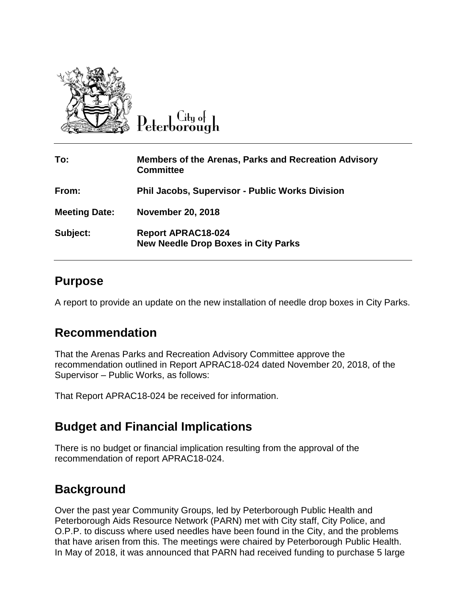

**City** of eterborough

| To:                  | <b>Members of the Arenas, Parks and Recreation Advisory</b><br><b>Committee</b> |
|----------------------|---------------------------------------------------------------------------------|
| From:                | <b>Phil Jacobs, Supervisor - Public Works Division</b>                          |
| <b>Meeting Date:</b> | <b>November 20, 2018</b>                                                        |
| Subject:             | <b>Report APRAC18-024</b><br><b>New Needle Drop Boxes in City Parks</b>         |

#### **Purpose**

A report to provide an update on the new installation of needle drop boxes in City Parks.

### **Recommendation**

That the Arenas Parks and Recreation Advisory Committee approve the recommendation outlined in Report APRAC18-024 dated November 20, 2018, of the Supervisor – Public Works, as follows:

That Report APRAC18-024 be received for information.

# **Budget and Financial Implications**

There is no budget or financial implication resulting from the approval of the recommendation of report APRAC18-024.

# **Background**

Over the past year Community Groups, led by Peterborough Public Health and Peterborough Aids Resource Network (PARN) met with City staff, City Police, and O.P.P. to discuss where used needles have been found in the City, and the problems that have arisen from this. The meetings were chaired by Peterborough Public Health. In May of 2018, it was announced that PARN had received funding to purchase 5 large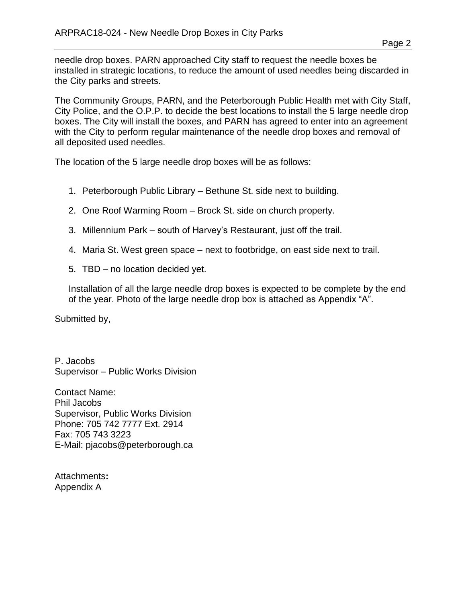Page 2

needle drop boxes. PARN approached City staff to request the needle boxes be installed in strategic locations, to reduce the amount of used needles being discarded in the City parks and streets.

The Community Groups, PARN, and the Peterborough Public Health met with City Staff, City Police, and the O.P.P. to decide the best locations to install the 5 large needle drop boxes. The City will install the boxes, and PARN has agreed to enter into an agreement with the City to perform regular maintenance of the needle drop boxes and removal of all deposited used needles.

The location of the 5 large needle drop boxes will be as follows:

- 1. Peterborough Public Library Bethune St. side next to building.
- 2. One Roof Warming Room Brock St. side on church property.
- 3. Millennium Park south of Harvey's Restaurant, just off the trail.
- 4. Maria St. West green space next to footbridge, on east side next to trail.
- 5. TBD no location decided yet.

Installation of all the large needle drop boxes is expected to be complete by the end of the year. Photo of the large needle drop box is attached as Appendix "A".

Submitted by,

P. Jacobs Supervisor – Public Works Division

Contact Name: Phil Jacobs Supervisor, Public Works Division Phone: 705 742 7777 Ext. 2914 Fax: 705 743 3223 E-Mail: pjacobs@peterborough.ca

Attachments**:** Appendix A